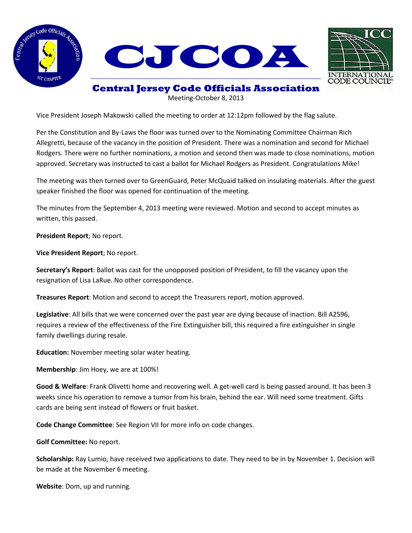



## **Central Jersey Code Officials Association**

Meeting-October 8, 2013

Vice President Joseph Makowski called the meeting to order at 12:12pm followed by the flag salute.

Per the Constitution and By-Laws the floor was turned over to the Nominating Committee Chairman Rich Allegretti, because of the vacancy in the position of President. There was a nomination and second for Michael Rodgers. There were no further nominations, a motion and second then was made to close nominations, motion approved. Secretary was instructed to cast a ballot for Michael Rodgers as President. Congratulations Mike!

The meeting was then turned over to GreenGuard, Peter McQuaid talked on insulating materials. After the guest speaker finished the floor was opened for continuation of the meeting.

The minutes from the September 4, 2013 meeting were reviewed. Motion and second to accept minutes as written, this passed.

**President Report**; No report.

**Vice President Report**; No report.

**Secretary's Report**: Ballot was cast for the unopposed position of President, to fill the vacancy upon the resignation of Lisa LaRue. No other correspondence.

**Treasures Report**: Motion and second to accept the Treasurers report, motion approved.

**Legislative**: All bills that we were concerned over the past year are dying because of inaction. Bill A2596, requires a review of the effectiveness of the Fire Extinguisher bill, this required a fire extinguisher in single family dwellings during resale.

**Education:** November meeting solar water heating.

**Membership**: Jim Hoey, we are at 100%!

**Good & Welfare**: Frank Olivetti home and recovering well. A get-well card is being passed around. It has been 3 weeks since his operation to remove a tumor from his brain, behind the ear. Will need some treatment. Gifts cards are being sent instead of flowers or fruit basket.

**Code Change Committee**: See Region VII for more info on code changes.

**Golf Committee:** No report.

**Scholarship:** Ray Lumio, have received two applications to date. They need to be in by November 1. Decision will be made at the November 6 meeting.

**Website**: Dom, up and running.